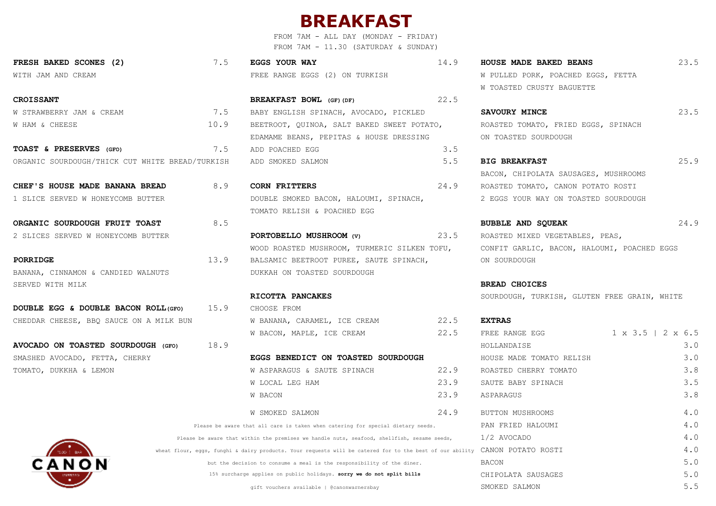## **BREAKFAST**

FROM 7AM - ALL DAY (MONDAY - FRIDAY) FROM 7AM - 11.30 (SATURDAY & SUNDAY)

| FRESH BAKED SCONES (2) | <b>EGGS YOUR WAY</b>           | HOUSE MADE BAKED BEANS             |
|------------------------|--------------------------------|------------------------------------|
| WITH JAM AND CREAM     | FREE RANGE EGGS (2) ON TURKISH | W PULLED PORK, POACHED EGGS, FETTA |

| <b>CROISSANT</b>                                |      | <b>BREAKFAST BOWL</b> (GF) (DF)            | 22.5 |                                     |      |
|-------------------------------------------------|------|--------------------------------------------|------|-------------------------------------|------|
| W STRAWBERRY JAM & CREAM                        | 7.5  | BABY ENGLISH SPINACH, AVOCADO, PICKLED     |      | SAVOURY MINCE                       | 23.5 |
| W HAM & CHEESE                                  | 10.9 | BEETROOT, QUINOA, SALT BAKED SWEET POTATO, |      | ROASTED TOMATO, FRIED EGGS, SPINACH |      |
|                                                 |      | EDAMAME BEANS, PEPITAS & HOUSE DRESSING    |      | ON TOASTED SOURDOUGH                |      |
| TOAST & PRESERVES (GFO)                         | 7.5  | ADD POACHED EGG                            | 3.5  |                                     |      |
| ORGANIC SOURDOUGH/THICK CUT WHITE BREAD/TURKISH |      | ADD SMOKED SALMON                          |      | <b>BIG BREAKFAST</b>                | 25.9 |

**CHEF'S HOUSE MADE BANANA BREAD** 8.9 **CORN FRITTERS** 24.9 ROASTED TOMATO, CANON POTATO ROSTI 1 SLICE SERVED W HONEYCOMB BUTTER DOUBLE SMOKED BACON, HALOUMI, SPINACH, 2 EGGS YOUR WAY ON TOASTED SOURDOUGH TOMATO RELISH & POACHED EGG

2 SLICES SERVED W HONEYCOMB BUTTER **PORTOBELLO MUSHROOM (V)** 23.5 ROASTED MIXED VEGETABLES, PEAS, WOOD ROASTED MUSHROOM, TURMERIC SILKEN TOFU, CONFIT GARLIC, BACON, HALOUMI, POACHED EGGS **PORRIDGE** 13.9 BALSAMIC BEETROOT PUREE, SAUTE SPINACH, ON SOURDOUGH

|  | DOUBLE EGG & DOUBLE BACON ROLL (GFO) |                                         | 15.9 | CHOOSE FROM                          |               |
|--|--------------------------------------|-----------------------------------------|------|--------------------------------------|---------------|
|  |                                      | CHEDDAR CHEESE, BBO SAUCE ON A MILK BUN |      | 22.5<br>W BANANA, CARAMEL, ICE CREAM | <b>EXTRAS</b> |
|  |                                      |                                         |      | 22.5<br>W BACON, MAPLE, ICE CREAM    | FREE RA       |

| 22.9<br>W ASPARAGUS & SAUTE SPINACH                                                                      | ROASTED CHERRY TOMATO | 3.8 |
|----------------------------------------------------------------------------------------------------------|-----------------------|-----|
| 23.9<br>W LOCAL LEG HAM                                                                                  | SAUTE BABY SPINACH    | 3.5 |
| 23.9<br>W BACON                                                                                          | ASPARAGUS             | 3.8 |
| 24.9<br><b>W SMOKED SALMON</b>                                                                           | BUTTON MUSHROOMS      | 4.0 |
| Please be aware that all care is taken when catering for special dietary needs.                          | PAN FRIED HALOUMI     | 4.0 |
| Please be aware that within the premises we handle nuts, seafood, shellfish, sesame seeds,               | 1/2 AVOCADO           | 4.0 |
| wheat flour, eqgs, funghi & dairy products. Your requests will be catered for to the best of our ability | CANON POTATO ROSTI    | 4.0 |
| but the decision to consume a meal is the responsibility of the diner.                                   | <b>BACON</b>          | 5.0 |
| 15% surcharge applies on public holidays. sorry we do not split bills                                    | CHIPOLATA SAUSAGES    | 5.0 |
| gift vouchers available   @canonwarnersbay                                                               | SMOKED SALMON         | 5.5 |

**FRESH BAKED SCONES (2)** 7.5 **EGGS YOUR WAY** 14.9 **HOUSE MADE BAKED BEANS** 23.5 W TOASTED CRUSTY BAGUETTE

BACON, CHIPOLATA SAUSAGES, MUSHROOMS

**ORGANIC SOURDOUGH FRUIT TOAST** 8.5 **8.9 <b>BUBBLE AND SOUEAK** 24.9

**RICOTTA PANCAKES SOURDOUGH, TURKISH, GLUTEN FREE GRAIN, WHITE** 

| W BACON, MAPLE, ICE CREAM                                                                    | 22.5 | FREE RANGE EGG           | $1 \times 3.5$   2 $\times$ 6.5 |     |
|----------------------------------------------------------------------------------------------|------|--------------------------|---------------------------------|-----|
|                                                                                              |      | HOLLANDAISE              |                                 | 3.0 |
| <b>EGGS BENEDICT ON TOASTED SOURDOUGH</b>                                                    |      | HOUSE MADE TOMATO RELISH |                                 | 3.0 |
| W ASPARAGUS & SAUTE SPINACH                                                                  | 22.9 | ROASTED CHERRY TOMATO    |                                 | 3.8 |
| W LOCAL LEG HAM                                                                              | 23.9 | SAUTE BABY SPINACH       |                                 | 3.5 |
| W BACON                                                                                      | 23.9 | ASPARAGUS                |                                 | 3.8 |
| W SMOKED SALMON                                                                              | 24.9 | BUTTON MUSHROOMS         |                                 | 4.0 |
| at all care is taken when catering for special dietary needs.                                |      | PAN FRIED HALOUMI        |                                 | 4.0 |
| hin the premises we handle nuts, seafood, shellfish, sesame seeds, $1/2$ AVOCADO             |      |                          |                                 | 4.0 |
| ry products. Your requests will be catered for to the best of our ability CANON POTATO ROSTI |      |                          |                                 | 4.0 |
| on to consume a meal is the responsibility of the diner.                                     |      | BACON                    |                                 | 5.0 |
| applies on public holidays. sorry we do not split bills                                      |      | CHIPOLATA SAUSAGES       |                                 | 5.0 |
| gift vouchers available   @canonwarnersbay                                                   |      | SMOKED SALMON            |                                 | 5.5 |
|                                                                                              |      |                          |                                 |     |

| <b>CROISSANT</b> |                |  |                          |  |
|------------------|----------------|--|--------------------------|--|
|                  |                |  | W STRAWBERRY JAM & CREAM |  |
|                  | W HAM & CHEESE |  |                          |  |

BANANA, CINNAMON & CANDIED WALNUTS DUKKAH ON TOASTED SOURDOUGH SERVED WITH MILK **BREAD CHOICES**

**AVOCADO ON TOASTED SOURDOUGH (GFO) 18.9** SMASHED AVOCADO, FETTA, CHERRY **EGGS BENEDICT ON TOASTED SOURDOUGH** TOMATO, DUKKHA & LEMON